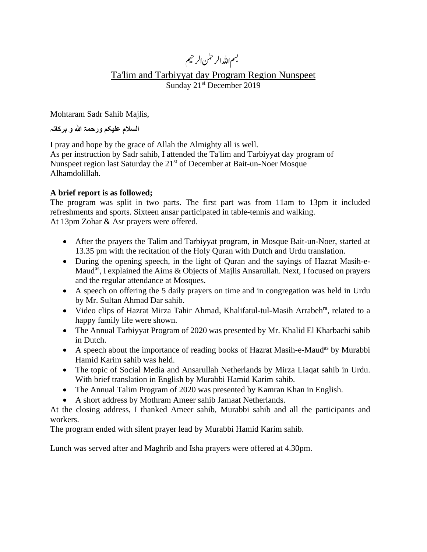# بسم <sub>اللّٰہ الر</sub>حمٰن الرحيم

# Ta'lim and Tarbiyyat day Program Region Nunspeet Sunday 21<sup>st</sup> December 2019

Mohtaram Sadr Sahib Majlis,

**السالم علیکم ورحمۃ ہللا و برکاتہ**

I pray and hope by the grace of Allah the Almighty all is well. As per instruction by Sadr sahib, I attended the Ta'lim and Tarbiyyat day program of Nunspeet region last Saturday the 21<sup>st</sup> of December at Bait-un-Noer Mosque Alhamdolillah.

### **A brief report is as followed;**

The program was split in two parts. The first part was from 11am to 13pm it included refreshments and sports. Sixteen ansar participated in table-tennis and walking. At 13pm Zohar & Asr prayers were offered.

- After the prayers the Talim and Tarbiyyat program, in Mosque Bait-un-Noer, started at 13.35 pm with the recitation of the Holy Quran with Dutch and Urdu translation.
- During the opening speech, in the light of Quran and the sayings of Hazrat Masih-e-Maud<sup>as</sup>, I explained the Aims & Objects of Majlis Ansarullah. Next, I focused on prayers and the regular attendance at Mosques.
- A speech on offering the 5 daily prayers on time and in congregation was held in Urdu by Mr. Sultan Ahmad Dar sahib.
- Video clips of Hazrat Mirza Tahir Ahmad, Khalifatul-tul-Masih Arrabeh<sup>ra</sup>, related to a happy family life were shown.
- The Annual Tarbiyyat Program of 2020 was presented by Mr. Khalid El Kharbachi sahib in Dutch.
- A speech about the importance of reading books of Hazrat Masih-e-Maud<sup>as</sup> by Murabbi Hamid Karim sahib was held.
- The topic of Social Media and Ansarullah Netherlands by Mirza Liaqat sahib in Urdu. With brief translation in English by Murabbi Hamid Karim sahib.
- The Annual Talim Program of 2020 was presented by Kamran Khan in English.
- A short address by Mothram Ameer sahib Jamaat Netherlands.

At the closing address, I thanked Ameer sahib, Murabbi sahib and all the participants and workers.

The program ended with silent prayer lead by Murabbi Hamid Karim sahib.

Lunch was served after and Maghrib and Isha prayers were offered at 4.30pm.